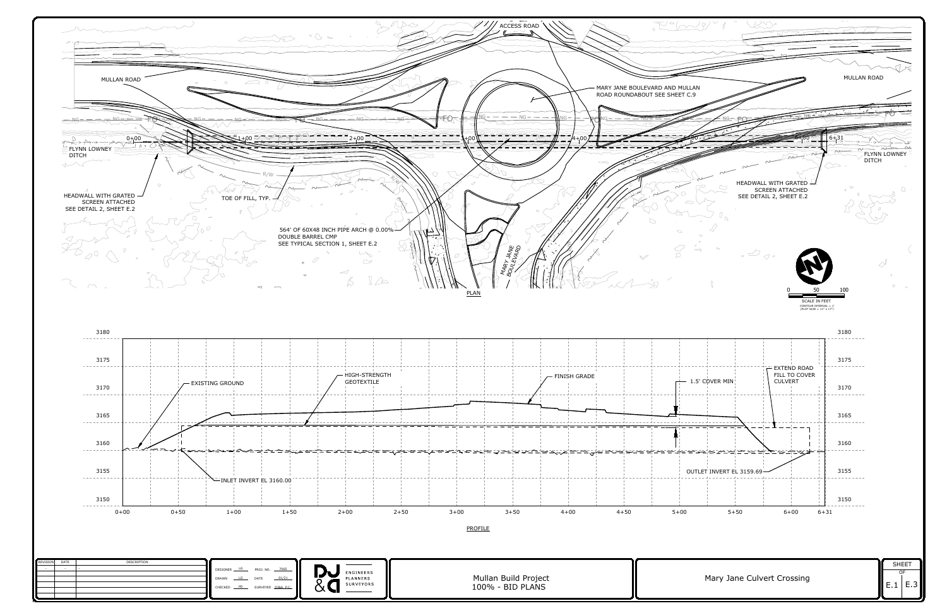



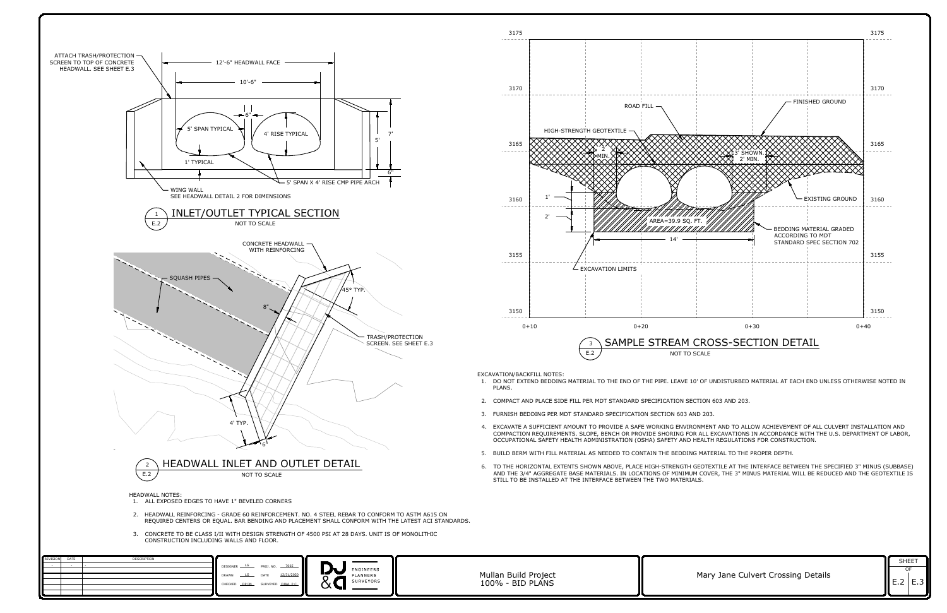

- 
- 
- 
- 
- 
- 
- 
- 

| DATE | DESCRIPTION |                                          |                 |              |
|------|-------------|------------------------------------------|-----------------|--------------|
|      |             | DESIGNER LG<br>7065<br>PROJ. NO.         |                 |              |
|      |             |                                          | ENGINEERS       |              |
|      |             | 12/31/2020<br>DATE<br>LG<br><b>DRAWN</b> | . .<br>PLANNERS | Mullan Build |
|      |             | CHECKED DP/JN<br>SURVEYED DJ&A, P.C.     | SURVEYORS       | 100% - BID   |
|      |             |                                          | $\check{ }$     |              |
|      |             |                                          |                 |              |

|                                    | <b>SHEET</b>                    |  |
|------------------------------------|---------------------------------|--|
| Mary Jane Culvert Crossing Details | $\parallel$ E.2 E.3 $\parallel$ |  |

<span id="page-1-0"></span>